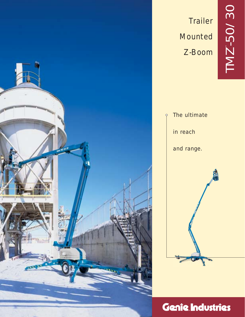

# **Trailer** Mounted Z-Boom



# Genie Industries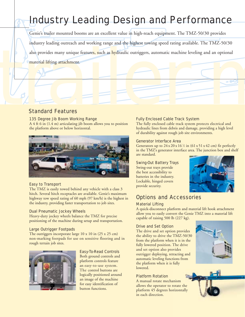# Industry Leading Design and Performance

industry leading outreach and working range and the highest towing speed rating available. The TMZ-50/30<br>also provides many unique features, such as hydraulic outriggers, automatic machine leveling and an optional<br>material Genie's trailer mounted booms are an excellent value in high-reach equipment. The TMZ-50/30 provides industry leading outreach and working range and the highest towing speed rating available. The TMZ-50/30 also provides many unique features, such as hydraulic outriggers, automatic machine leveling and an optional material lifting attachment.

## Standard Features

#### 135 Degree Jib Boom Working Range

A 4 ft 6 in (1.4 m) articulating jib boom allows you to position the platform above or below horizontal.



#### Easy to Transport

The TMZ is easily towed behind any vehicle with a class 3 hitch. Several hitch receptacles are available. Genie's maximum highway tow speed rating of 60 mph (97 km/h) is the highest in the industry, providing faster transportation to job sites.

#### Dual Pneumatic Jockey Wheels

Heavy-duty jockey wheels balance the TMZ for precise positioning of the machine during setup and transportation.

#### Large Outrigger Footpads

The outriggers incorporate large  $10 \times 10$  in  $(25 \times 25$  cm) non-marking footpads for use on sensitive flooring and in rough terrain job sites.



#### Easy-To-Read Controls

Both ground controls and platform controls feature an easy-to-use system. The control buttons are logically positioned around an image of the machine for easy identification of button functions.

#### Fully Enclosed Cable Track System

The fully enclosed cable track system protects electrical and hydraulic lines from debris and damage, providing a high level of durability against rough job site environments.

#### Generator Interface Area

Generators up to  $24 \times 20 \times 16$  % in (61 x 51 x 42 cm) fit perfectly in the TMZ's generator interface area. The junction box and shelf are standard.

#### Swing-Out Battery Trays

Swing-out trays provide the best accessibility to batteries in the industry. Lockable, hinged covers provide security.



## Options and Accessories

#### Material Lifting

A quick-disconnect platform and material lift hook attachment allow you to easily convert the Genie TMZ into a material lift capable of raising 500 lb (227 kg).

#### Drive and Set Option

The drive and set option provides the ability to drive the TMZ-50/30 from the platform when it is in the fully lowered position. The drive and set option also provides outrigger deploying, retracting and automatic leveling functions from the platform when it is fully lowered.

#### Platform Rotation

A manual rotate mechanism allows the operator to rotate the platform 45 degrees horizontally in each direction.



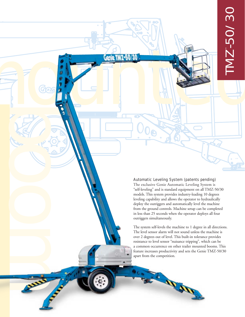#### Automatic Leveling System (patents pending)

**book of the Company of the Company of the Company of the Company of the Company of the Company of the Company** 

m

The exclusive Genie Automatic Leveling System is "self-leveling" and is standard equipment on all TMZ-50/30 models. This system provides industry-leading 10 degrees leveling capability and allows the operator to hydraulically deploy the outriggers and automatically level the machine from the ground controls. Machine setup can be completed in less than 25 seconds when the operator deploys all four outriggers simultaneously.

The system self-levels the machine to 1 degree in all directions. The level sensor alarm will not sound unless the machine is over 2 degrees out of level. This built-in tolerance provides resistance to level sensor "nuisance tripping", which can be a common occurrence on other trailer mounted booms. This feature increases productivity and sets the Genie TMZ-50/30 apart from the competition.

**AND**